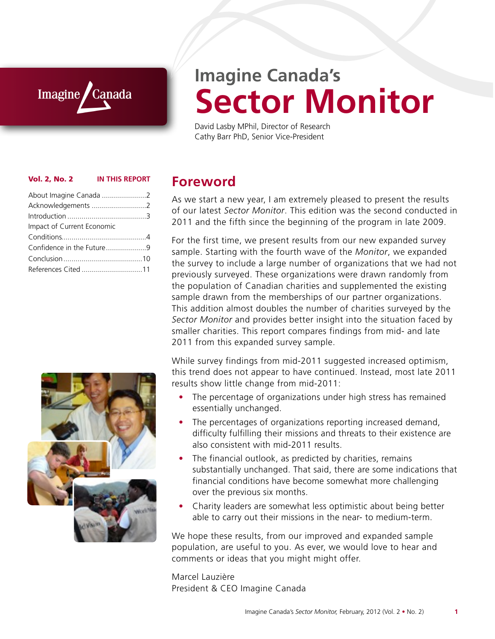### Imagine *Canada*

# **Imagine Canada's Sector Monitor**

David Lasby MPhil, Director of Research Cathy Barr PhD, Senior Vice-President

#### Vol. 2, No. 2 **IN THIS REPORT**

| About Imagine Canada 2     |  |
|----------------------------|--|
| Acknowledgements 2         |  |
|                            |  |
| Impact of Current Economic |  |
|                            |  |
|                            |  |
| Confidence in the Future9  |  |
|                            |  |



### **Foreword**

As we start a new year, I am extremely pleased to present the results of our latest *Sector Monitor*. This edition was the second conducted in 2011 and the fifth since the beginning of the program in late 2009.

For the first time, we present results from our new expanded survey sample. Starting with the fourth wave of the *Monitor*, we expanded the survey to include a large number of organizations that we had not previously surveyed. These organizations were drawn randomly from the population of Canadian charities and supplemented the existing sample drawn from the memberships of our partner organizations. This addition almost doubles the number of charities surveyed by the *Sector Monitor* and provides better insight into the situation faced by smaller charities. This report compares findings from mid- and late 2011 from this expanded survey sample.

While survey findings from mid-2011 suggested increased optimism, this trend does not appear to have continued. Instead, most late 2011 results show little change from mid-2011:

- The percentage of organizations under high stress has remained essentially unchanged.
- The percentages of organizations reporting increased demand, difficulty fulfilling their missions and threats to their existence are also consistent with mid-2011 results.
- The financial outlook, as predicted by charities, remains substantially unchanged. That said, there are some indications that financial conditions have become somewhat more challenging over the previous six months.
- Charity leaders are somewhat less optimistic about being better able to carry out their missions in the near- to medium-term.

We hope these results, from our improved and expanded sample population, are useful to you. As ever, we would love to hear and comments or ideas that you might might offer.

Marcel Lauzière President & CEO Imagine Canada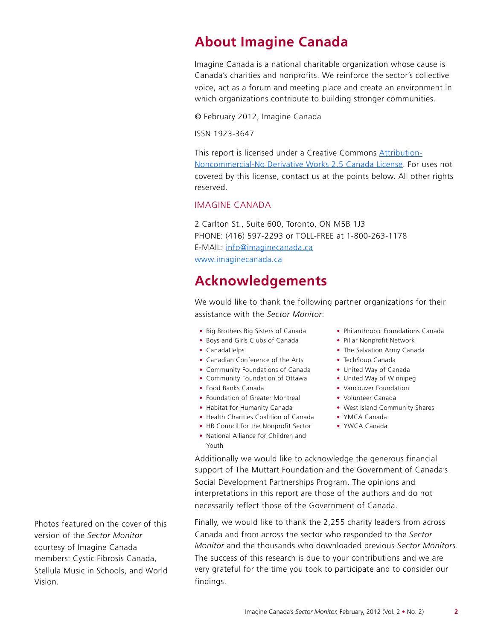# **About Imagine Canada**

Imagine Canada is a national charitable organization whose cause is Canada's charities and nonprofits. We reinforce the sector's collective voice, act as a forum and meeting place and create an environment in which organizations contribute to building stronger communities.

© February 2012, Imagine Canada

ISSN 1923-3647

This report is licensed under a Creative Commons [Attribution-](http://creativecommons.org/licenses/by-nc-nd/2.5/ca/)[Noncommercial-No Derivative Works 2.5 Canada License](http://creativecommons.org/licenses/by-nc-nd/2.5/ca/). For uses not covered by this license, contact us at the points below. All other rights reserved.

#### IMAGINE CANADA

2 Carlton St., Suite 600, Toronto, ON M5B 1J3 PHONE: (416) 597-2293 or TOLL-FREE at 1-800-263-1178 E-MAIL: [info@imaginecanada.ca](mailto:info@imaginecanada.ca) [www.imaginecanada.ca](http://www.imaginecanada.ca)

### **Acknowledgements**

We would like to thank the following partner organizations for their assistance with the *Sector Monitor*:

- Big Brothers Big Sisters of Canada
- Boys and Girls Clubs of Canada
- CanadaHelps
- Canadian Conference of the Arts
- Community Foundations of Canada
- Community Foundation of Ottawa
- Food Banks Canada
- Foundation of Greater Montreal
- Habitat for Humanity Canada
- Health Charities Coalition of Canada
- HR Council for the Nonprofit Sector
- National Alliance for Children and Youth
- Philanthropic Foundations Canada
- Pillar Nonprofit Network
- The Salvation Army Canada
- TechSoup Canada
- United Way of Canada
- United Way of Winnipeg
- Vancouver Foundation
- Volunteer Canada
- West Island Community Shares
- YMCA Canada
- YWCA Canada

Additionally we would like to acknowledge the generous financial support of The Muttart Foundation and the Government of Canada's Social Development Partnerships Program. The opinions and interpretations in this report are those of the authors and do not necessarily reflect those of the Government of Canada.

Finally, we would like to thank the 2,255 charity leaders from across Canada and from across the sector who responded to the *Sector Monitor* and the thousands who downloaded previous *Sector Monitors*. The success of this research is due to your contributions and we are very grateful for the time you took to participate and to consider our findings.

Photos featured on the cover of this version of the *Sector Monitor* courtesy of Imagine Canada members: Cystic Fibrosis Canada, Stellula Music in Schools, and World Vision.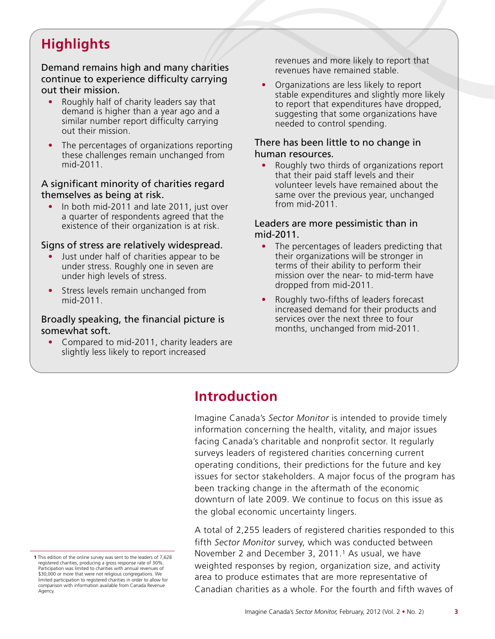# **Highlights**

Demand remains high and many charities continue to experience difficulty carrying out their mission.

- Roughly half of charity leaders say that demand is higher than a year ago and a similar number report difficulty carrying out their mission.
- The percentages of organizations reporting these challenges remain unchanged from mid-2011.

### A significant minority of charities regard themselves as being at risk.

• In both mid-2011 and late 2011, just over a quarter of respondents agreed that the existence of their organization is at risk.

### Signs of stress are relatively widespread.

- Just under half of charities appear to be under stress. Roughly one in seven are under high levels of stress.
- Stress levels remain unchanged from mid-2011.

### Broadly speaking, the financial picture is somewhat soft.

• Compared to mid-2011, charity leaders are slightly less likely to report increased

revenues and more likely to report that revenues have remained stable.

• Organizations are less likely to report stable expenditures and slightly more likely to report that expenditures have dropped, suggesting that some organizations have needed to control spending.

### There has been little to no change in human resources.

• Roughly two thirds of organizations report that their paid staff levels and their volunteer levels have remained about the same over the previous year, unchanged from mid-2011.

### Leaders are more pessimistic than in mid-2011.

- The percentages of leaders predicting that their organizations will be stronger in terms of their ability to perform their mission over the near- to mid-term have dropped from mid-2011.
- Roughly two-fifths of leaders forecast increased demand for their products and services over the next three to four months, unchanged from mid-2011.

# **Introduction**

Imagine Canada's *Sector Monitor* is intended to provide timely information concerning the health, vitality, and major issues facing Canada's charitable and nonprofit sector. It regularly surveys leaders of registered charities concerning current operating conditions, their predictions for the future and key issues for sector stakeholders. A major focus of the program has been tracking change in the aftermath of the economic downturn of late 2009. We continue to focus on this issue as the global economic uncertainty lingers.

A total of 2,255 leaders of registered charities responded to this fifth *Sector Monitor* survey, which was conducted between November 2 and December 3, 2011.1 As usual, we have weighted responses by region, organization size, and activity area to produce estimates that are more representative of Canadian charities as a whole. For the fourth and fifth waves of

**<sup>1</sup>** This edition of the online survey was sent to the leaders of 7,628 registered charities, producing a gross response rate of 30%. Participation was limited to charities with annual revenues of \$30,000 or more that were not religious congregations. We limited participation to registered charities in order to allow for comparison with information available from Canada Revenue Agency.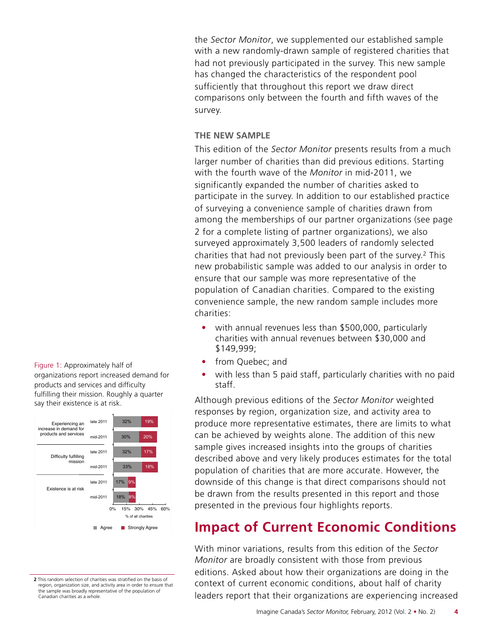the *Sector Monitor*, we supplemented our established sample with a new randomly-drawn sample of registered charities that had not previously participated in the survey. This new sample has changed the characteristics of the respondent pool sufficiently that throughout this report we draw direct comparisons only between the fourth and fifth waves of the survey.

### **THE NEW SAMPLE**

This edition of the *Sector Monitor* presents results from a much larger number of charities than did previous editions. Starting with the fourth wave of the *Monitor* in mid-2011, we significantly expanded the number of charities asked to participate in the survey. In addition to our established practice of surveying a convenience sample of charities drawn from among the memberships of our partner organizations (see page 2 for a complete listing of partner organizations), we also surveyed approximately 3,500 leaders of randomly selected charities that had not previously been part of the survey.2 This new probabilistic sample was added to our analysis in order to ensure that our sample was more representative of the population of Canadian charities. Compared to the existing convenience sample, the new random sample includes more charities:

- with annual revenues less than \$500,000, particularly charities with annual revenues between \$30,000 and \$149,999;
- from Quebec; and
- with less than 5 paid staff, particularly charities with no paid staff.

Although previous editions of the *Sector Monitor* weighted responses by region, organization size, and activity area to produce more representative estimates, there are limits to what can be achieved by weights alone. The addition of this new sample gives increased insights into the groups of charities described above and very likely produces estimates for the total population of charities that are more accurate. However, the downside of this change is that direct comparisons should not be drawn from the results presented in this report and those presented in the previous four highlights reports.

### **Impact of Current Economic Conditions**

With minor variations, results from this edition of the *Sector Monitor* are broadly consistent with those from previous editions. Asked about how their organizations are doing in the context of current economic conditions, about half of charity leaders report that their organizations are experiencing increased

Figure 1: Approximately half of organizations report increased demand for products and services and difficulty fulfilling their mission. Roughly a quarter say their existence is at risk.



**2** This random selection of charities was stratified on the basis of region, organization size, and activity area in order to ensure that the sample was broadly representative of the population of Canadian charities as a whole.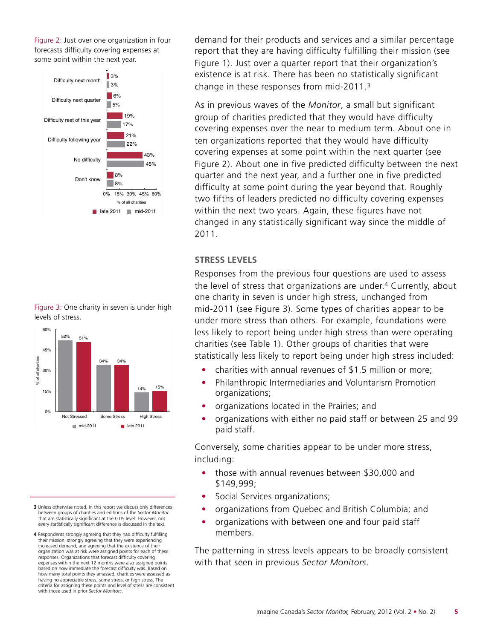Figure 2: Just over one organization in four forecasts difficulty covering expenses at some point within the next year.







- **3** Unless otherwise noted, in this report we discuss only differences between groups of charities and editions of the *Sector Monitor* that are statistically significant at the 0.05 level. However, not every statistically significant difference is discussed in the text.
- **4** Respondents strongly agreeing that they had difficulty fulfilling their mission, strongly agreeing that they were experiencing increased demand, and agreeing that the existence of their organization was at risk were assigned points for each of these responses. Organizations that forecast difficulty covering expenses within the next 12 months were also assigned points based on how immediate the forecast difficulty was. Based on how many total points they amassed, charities were assessed as having no appreciable stress, some stress, or high stress. The criteria for assigning these points and level of stress are consistent with those used in prior *Sector Monitors*.

demand for their products and services and a similar percentage report that they are having difficulty fulfilling their mission (see Figure 1). Just over a quarter report that their organization's existence is at risk. There has been no statistically significant change in these responses from mid-2011.3

As in previous waves of the *Monitor*, a small but significant group of charities predicted that they would have difficulty covering expenses over the near to medium term. About one in ten organizations reported that they would have difficulty covering expenses at some point within the next quarter (see Figure 2). About one in five predicted difficulty between the next quarter and the next year, and a further one in five predicted difficulty at some point during the year beyond that. Roughly two fifths of leaders predicted no difficulty covering expenses within the next two years. Again, these figures have not changed in any statistically significant way since the middle of 2011.

#### **STRESS LEVELS**

Responses from the previous four questions are used to assess the level of stress that organizations are under.4 Currently, about one charity in seven is under high stress, unchanged from mid-2011 (see Figure 3). Some types of charities appear to be under more stress than others. For example, foundations were less likely to report being under high stress than were operating charities (see Table 1). Other groups of charities that were statistically less likely to report being under high stress included:

- charities with annual revenues of \$1.5 million or more;
- Philanthropic Intermediaries and Voluntarism Promotion organizations;
- organizations located in the Prairies; and
- organizations with either no paid staff or between 25 and 99 paid staff.

Conversely, some charities appear to be under more stress, including:

- those with annual revenues between \$30,000 and \$149,999;
- Social Services organizations;
- organizations from Quebec and British Columbia; and
- organizations with between one and four paid staff members.

The patterning in stress levels appears to be broadly consistent with that seen in previous *Sector Monitors*.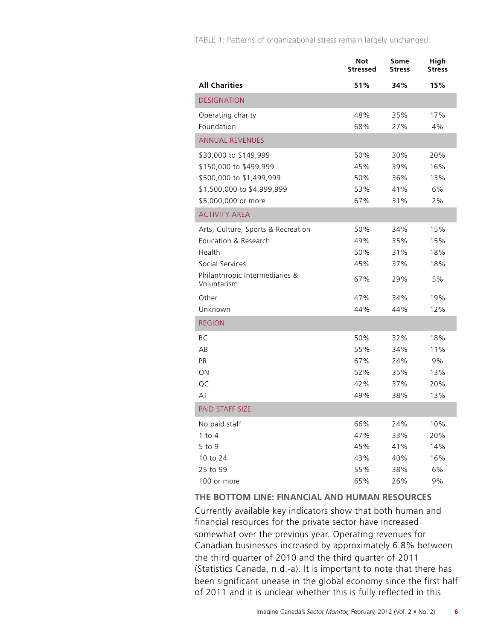TABLE 1: Patterns of organizational stress remain largely unchanged.

|                                               | Not<br>Stressed | Some<br><b>Stress</b> | High<br><b>Stress</b> |
|-----------------------------------------------|-----------------|-----------------------|-----------------------|
| <b>All Charities</b>                          | 51%             | 34%                   | 15%                   |
| <b>DESIGNATION</b>                            |                 |                       |                       |
| Operating charity                             | 48%             | 35%                   | 17%                   |
| Foundation                                    | 68%             | 27%                   | 4%                    |
| <b>ANNUAL REVENUES</b>                        |                 |                       |                       |
| \$30,000 to \$149,999                         | 50%             | 30%                   | 20%                   |
| \$150,000 to \$499,999                        | 45%             | 39%                   | 16%                   |
| \$500,000 to \$1,499,999                      | 50%             | 36%                   | 13%                   |
| \$1,500,000 to \$4,999,999                    | 53%             | 41%                   | 6%                    |
| \$5,000,000 or more                           | 67%             | 31%                   | 2%                    |
| <b>ACTIVITY AREA</b>                          |                 |                       |                       |
| Arts, Culture, Sports & Recreation            | 50%             | 34%                   | 15%                   |
| Education & Research                          | 49%             | 35%                   | 15%                   |
| Health                                        | 50%             | 31%                   | 18%                   |
| Social Services                               | 45%             | 37%                   | 18%                   |
| Philanthropic Intermediaries &<br>Voluntarism | 67%             | 29%                   | 5%                    |
| Other                                         | 47%             | 34%                   | 19%                   |
| Unknown                                       | 44%             | 44%                   | 12%                   |
| <b>REGION</b>                                 |                 |                       |                       |
| <b>BC</b>                                     | 50%             | 32%                   | 18%                   |
| AB                                            | 55%             | 34%                   | 11%                   |
| <b>PR</b>                                     | 67%             | 24%                   | 9%                    |
| ON                                            | 52%             | 35%                   | 13%                   |
| QC                                            | 42%             | 37%                   | 20%                   |
| AT                                            | 49%             | 38%                   | 13%                   |
| <b>PAID STAFF SIZE</b>                        |                 |                       |                       |
| No paid staff                                 | 66%             | 24%                   | 10%                   |
| $1$ to $4$                                    | 47%             | 33%                   | 20%                   |
| 5 to 9                                        | 45%             | 41%                   | 14%                   |
| 10 to 24                                      | 43%             | 40%                   | 16%                   |
| 25 to 99                                      | 55%             | 38%                   | 6%                    |
| 100 or more                                   | 65%             | 26%                   | 9%                    |

#### **THE BOTTOM LINE: FINANCIAL AND HUMAN RESOURCES**

Currently available key indicators show that both human and financial resources for the private sector have increased somewhat over the previous year. Operating revenues for Canadian businesses increased by approximately 6.8% between the third quarter of 2010 and the third quarter of 2011 (Statistics Canada, n.d.-a). It is important to note that there has been significant unease in the global economy since the first half of 2011 and it is unclear whether this is fully reflected in this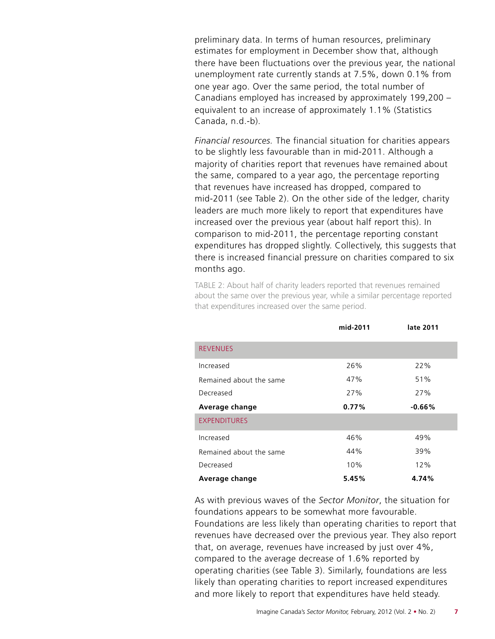preliminary data. In terms of human resources, preliminary estimates for employment in December show that, although there have been fluctuations over the previous year, the national unemployment rate currently stands at 7.5%, down 0.1% from one year ago. Over the same period, the total number of Canadians employed has increased by approximately 199,200 – equivalent to an increase of approximately 1.1% (Statistics Canada, n.d.-b).

*Financial resources.* The financial situation for charities appears to be slightly less favourable than in mid-2011. Although a majority of charities report that revenues have remained about the same, compared to a year ago, the percentage reporting that revenues have increased has dropped, compared to mid-2011 (see Table 2). On the other side of the ledger, charity leaders are much more likely to report that expenditures have increased over the previous year (about half report this). In comparison to mid-2011, the percentage reporting constant expenditures has dropped slightly. Collectively, this suggests that there is increased financial pressure on charities compared to six months ago.

TABLE 2: About half of charity leaders reported that revenues remained about the same over the previous year, while a similar percentage reported that expenditures increased over the same period.

|                         | mid-2011 | late 2011 |
|-------------------------|----------|-----------|
| <b>REVENUES</b>         |          |           |
| Increased               | 26%      | 22%       |
| Remained about the same | 47%      | 51%       |
| Decreased               | 27%      | 27%       |
| Average change          | 0.77%    | $-0.66\%$ |
| <b>EXPENDITURES</b>     |          |           |
| Increased               | 46%      | 49%       |
| Remained about the same | 44%      | 39%       |
| Decreased               | 10%      | 12%       |
| Average change          | 5.45%    | 4.74%     |

As with previous waves of the *Sector Monitor*, the situation for foundations appears to be somewhat more favourable.

Foundations are less likely than operating charities to report that revenues have decreased over the previous year. They also report that, on average, revenues have increased by just over 4%, compared to the average decrease of 1.6% reported by operating charities (see Table 3). Similarly, foundations are less likely than operating charities to report increased expenditures and more likely to report that expenditures have held steady.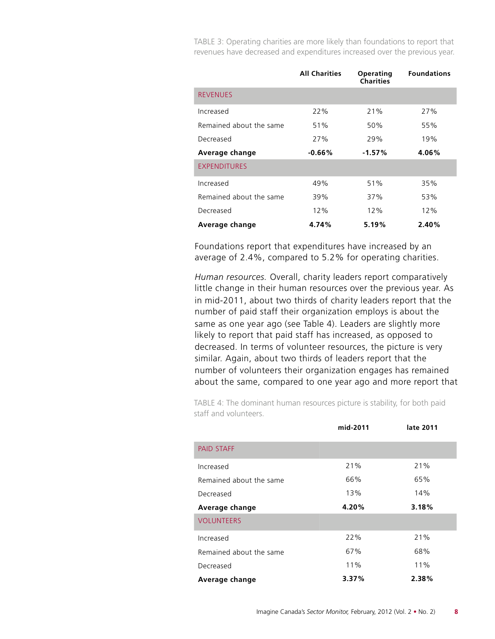TABLE 3: Operating charities are more likely than foundations to report that revenues have decreased and expenditures increased over the previous year.

|                         | <b>All Charities</b> | Operating<br><b>Charities</b> | <b>Foundations</b> |
|-------------------------|----------------------|-------------------------------|--------------------|
| <b>REVENUES</b>         |                      |                               |                    |
| Increased               | 22%                  | 21%                           | 27%                |
| Remained about the same | 51%                  | 50%                           | 55%                |
| Decreased               | 27%                  | 29%                           | 19%                |
| Average change          | $-0.66\%$            | $-1.57%$                      | 4.06%              |
| <b>EXPENDITURES</b>     |                      |                               |                    |
| Increased               | 49%                  | 51%                           | 35%                |
| Remained about the same | 39%                  | 37%                           | 53%                |
| Decreased               | 12%                  | 12%                           | 12%                |
| Average change          | 4.74%                | 5.19%                         | 2.40%              |

Foundations report that expenditures have increased by an average of 2.4%, compared to 5.2% for operating charities.

*Human resources.* Overall, charity leaders report comparatively little change in their human resources over the previous year. As in mid-2011, about two thirds of charity leaders report that the number of paid staff their organization employs is about the same as one year ago (see Table 4). Leaders are slightly more likely to report that paid staff has increased, as opposed to decreased. In terms of volunteer resources, the picture is very similar. Again, about two thirds of leaders report that the number of volunteers their organization engages has remained about the same, compared to one year ago and more report that

TABLE 4: The dominant human resources picture is stability, for both paid staff and volunteers.

|                         | mid-2011 | late 2011 |
|-------------------------|----------|-----------|
| <b>PAID STAFF</b>       |          |           |
| Increased               | 21%      | 21%       |
| Remained about the same | 66%      | 65%       |
| Decreased               | 13%      | 14%       |
| Average change          | 4.20%    | 3.18%     |
| <b>VOLUNTEERS</b>       |          |           |
| Increased               | 22%      | 21%       |
| Remained about the same | 67%      | 68%       |
| Decreased               | 11%      | 11%       |
| Average change          | 3.37%    | 2.38%     |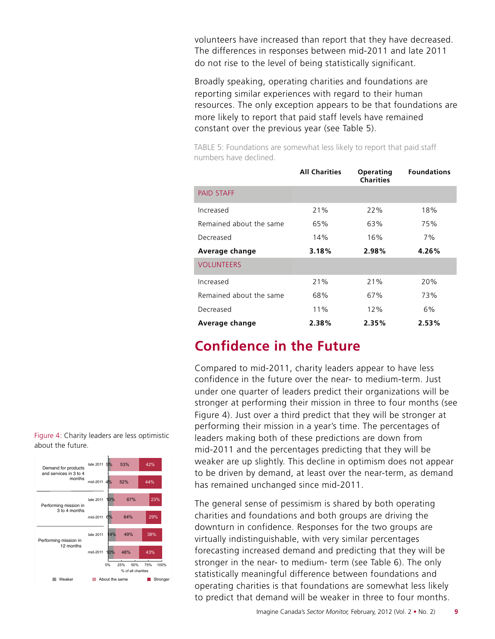volunteers have increased than report that they have decreased. The differences in responses between mid-2011 and late 2011 do not rise to the level of being statistically significant.

Broadly speaking, operating charities and foundations are reporting similar experiences with regard to their human resources. The only exception appears to be that foundations are more likely to report that paid staff levels have remained constant over the previous year (see Table 5).

TABLE 5: Foundations are somewhat less likely to report that paid staff numbers have declined.

|                         | <b>All Charities</b> | Operating<br><b>Charities</b> | <b>Foundations</b> |
|-------------------------|----------------------|-------------------------------|--------------------|
| <b>PAID STAFF</b>       |                      |                               |                    |
| Increased               | 21%                  | 22%                           | 18%                |
| Remained about the same | 65%                  | 63%                           | 75%                |
| Decreased               | 14%                  | 16%                           | 7%                 |
| Average change          | 3.18%                | 2.98%                         | 4.26%              |
| <b>VOLUNTEERS</b>       |                      |                               |                    |
| Increased               | 21%                  | 21%                           | 20%                |
| Remained about the same | 68%                  | 67%                           | 73%                |
| Decreased               | 11%                  | 12%                           | 6%                 |
| Average change          | 2.38%                | 2.35%                         | 2.53%              |

### **Confidence in the Future**

Compared to mid-2011, charity leaders appear to have less confidence in the future over the near- to medium-term. Just under one quarter of leaders predict their organizations will be stronger at performing their mission in three to four months (see Figure 4). Just over a third predict that they will be stronger at performing their mission in a year's time. The percentages of leaders making both of these predictions are down from mid-2011 and the percentages predicting that they will be weaker are up slightly. This decline in optimism does not appear to be driven by demand, at least over the near-term, as demand has remained unchanged since mid-2011.

The general sense of pessimism is shared by both operating charities and foundations and both groups are driving the downturn in confidence. Responses for the two groups are virtually indistinguishable, with very similar percentages forecasting increased demand and predicting that they will be stronger in the near- to medium- term (see Table 6). The only statistically meaningful difference between foundations and operating charities is that foundations are somewhat less likely to predict that demand will be weaker in three to four months.

Figure 4: Charity leaders are less optimistic about the future.

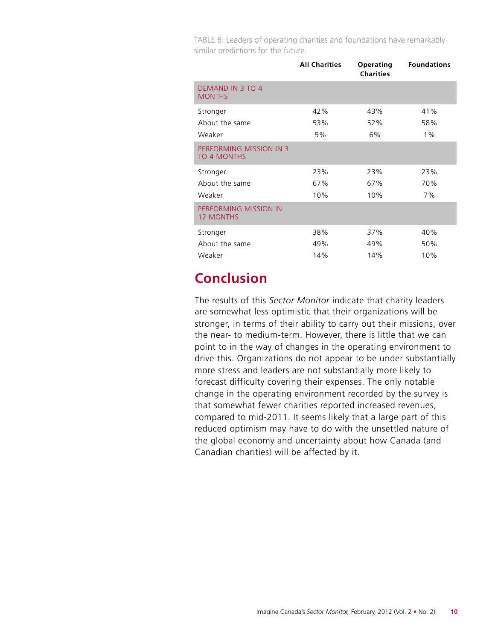TABLE 6: Leaders of operating charities and foundations have remarkably similar predictions for the future.

|                                               | <b>All Charities</b> | Operating<br><b>Charities</b> | <b>Foundations</b> |
|-----------------------------------------------|----------------------|-------------------------------|--------------------|
| <b>DEMAND IN 3 TO 4</b><br><b>MONTHS</b>      |                      |                               |                    |
| Stronger                                      | 42%                  | 43%                           | 41%                |
| About the same                                | 53%                  | 52%                           | 58%                |
| Weaker                                        | 5%                   | 6%                            | $1\%$              |
| PERFORMING MISSION IN 3<br><b>TO 4 MONTHS</b> |                      |                               |                    |
| Stronger                                      | 23%                  | 23%                           | 23%                |
| About the same                                | 67%                  | 67%                           | 70%                |
| Weaker                                        | 10%                  | 10%                           | 7%                 |
| PERFORMING MISSION IN<br><b>12 MONTHS</b>     |                      |                               |                    |
| Stronger                                      | 38%                  | 37%                           | 40%                |
| About the same                                | 49%                  | 49%                           | 50%                |
| Weaker                                        | 14%                  | 14%                           | 10%                |

## **Conclusion**

The results of this *Sector Monitor* indicate that charity leaders are somewhat less optimistic that their organizations will be stronger, in terms of their ability to carry out their missions, over the near- to medium-term. However, there is little that we can point to in the way of changes in the operating environment to drive this. Organizations do not appear to be under substantially more stress and leaders are not substantially more likely to forecast difficulty covering their expenses. The only notable change in the operating environment recorded by the survey is that somewhat fewer charities reported increased revenues, compared to mid-2011. It seems likely that a large part of this reduced optimism may have to do with the unsettled nature of the global economy and uncertainty about how Canada (and Canadian charities) will be affected by it.